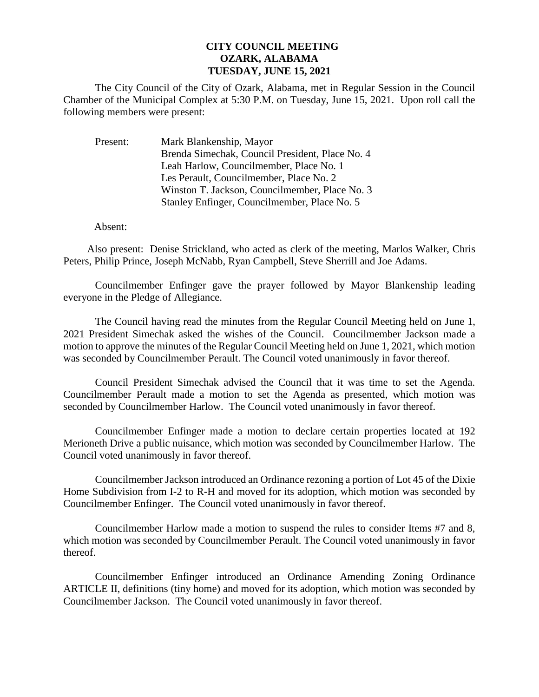## **CITY COUNCIL MEETING OZARK, ALABAMA TUESDAY, JUNE 15, 2021**

The City Council of the City of Ozark, Alabama, met in Regular Session in the Council Chamber of the Municipal Complex at 5:30 P.M. on Tuesday, June 15, 2021. Upon roll call the following members were present:

Present: Mark Blankenship, Mayor Brenda Simechak, Council President, Place No. 4 Leah Harlow, Councilmember, Place No. 1 Les Perault, Councilmember, Place No. 2 Winston T. Jackson, Councilmember, Place No. 3 Stanley Enfinger, Councilmember, Place No. 5

Absent:

Also present: Denise Strickland, who acted as clerk of the meeting, Marlos Walker, Chris Peters, Philip Prince, Joseph McNabb, Ryan Campbell, Steve Sherrill and Joe Adams.

Councilmember Enfinger gave the prayer followed by Mayor Blankenship leading everyone in the Pledge of Allegiance.

The Council having read the minutes from the Regular Council Meeting held on June 1, 2021 President Simechak asked the wishes of the Council. Councilmember Jackson made a motion to approve the minutes of the Regular Council Meeting held on June 1, 2021, which motion was seconded by Councilmember Perault. The Council voted unanimously in favor thereof.

Council President Simechak advised the Council that it was time to set the Agenda. Councilmember Perault made a motion to set the Agenda as presented, which motion was seconded by Councilmember Harlow. The Council voted unanimously in favor thereof.

Councilmember Enfinger made a motion to declare certain properties located at 192 Merioneth Drive a public nuisance, which motion was seconded by Councilmember Harlow. The Council voted unanimously in favor thereof.

Councilmember Jackson introduced an Ordinance rezoning a portion of Lot 45 of the Dixie Home Subdivision from I-2 to R-H and moved for its adoption, which motion was seconded by Councilmember Enfinger. The Council voted unanimously in favor thereof.

Councilmember Harlow made a motion to suspend the rules to consider Items #7 and 8, which motion was seconded by Councilmember Perault. The Council voted unanimously in favor thereof.

Councilmember Enfinger introduced an Ordinance Amending Zoning Ordinance ARTICLE II, definitions (tiny home) and moved for its adoption, which motion was seconded by Councilmember Jackson. The Council voted unanimously in favor thereof.